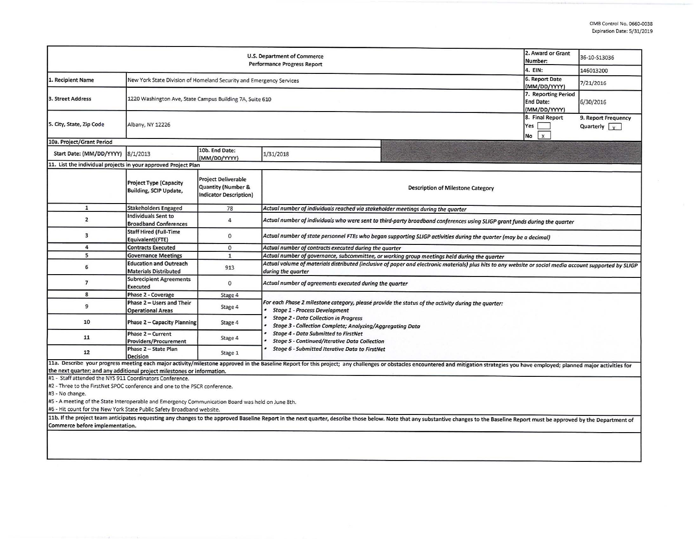| 2. Award or Grant<br>U.S. Department of Commerce<br>Number:<br><b>Performance Progress Report</b><br>4. EIN:                        |                                                                     |                                                                            |                                                                                                                                                                                |                                                                                                                                                                                                                                |                                | 36-10-S13036                                |  |  |  |
|-------------------------------------------------------------------------------------------------------------------------------------|---------------------------------------------------------------------|----------------------------------------------------------------------------|--------------------------------------------------------------------------------------------------------------------------------------------------------------------------------|--------------------------------------------------------------------------------------------------------------------------------------------------------------------------------------------------------------------------------|--------------------------------|---------------------------------------------|--|--|--|
|                                                                                                                                     |                                                                     |                                                                            |                                                                                                                                                                                |                                                                                                                                                                                                                                |                                | 146013200                                   |  |  |  |
| 1. Recipient Name                                                                                                                   | New York State Division of Homeland Security and Emergency Services |                                                                            |                                                                                                                                                                                |                                                                                                                                                                                                                                | 6. Report Date<br>(MM/DD/YYYY) | 7/21/2016                                   |  |  |  |
| 3. Street Address                                                                                                                   | 1220 Washington Ave, State Campus Building 7A, Suite 610            |                                                                            |                                                                                                                                                                                |                                                                                                                                                                                                                                |                                | 7. Reporting Period<br>6/30/2016            |  |  |  |
| 5. City, State, Zip Code                                                                                                            | Albany, NY 12226                                                    |                                                                            |                                                                                                                                                                                |                                                                                                                                                                                                                                |                                | 9. Report Frequency<br>Quarterly $\sqrt{x}$ |  |  |  |
| 10a. Project/Grant Period                                                                                                           |                                                                     |                                                                            |                                                                                                                                                                                |                                                                                                                                                                                                                                | $\mathbf{x}$<br>No             |                                             |  |  |  |
| Start Date: (MM/DD/YYYY)                                                                                                            | 8/1/2013                                                            | 10b. End Date:<br>(MM/DD/YYYY)                                             | 1/31/2018                                                                                                                                                                      |                                                                                                                                                                                                                                |                                |                                             |  |  |  |
| 11. List the individual projects in your approved Project Plan                                                                      |                                                                     |                                                                            |                                                                                                                                                                                |                                                                                                                                                                                                                                |                                |                                             |  |  |  |
|                                                                                                                                     | <b>Project Type (Capacity</b><br>Building, SCIP Update,             | <b>Project Deliverable</b><br>Quantity (Number &<br>Indicator Description) | <b>Description of Milestone Category</b>                                                                                                                                       |                                                                                                                                                                                                                                |                                |                                             |  |  |  |
| $\mathbf{1}$                                                                                                                        | <b>Stakeholders Engaged</b>                                         | 78                                                                         | Actual number of individuals reached via stakeholder meetings during the quarter                                                                                               |                                                                                                                                                                                                                                |                                |                                             |  |  |  |
| $\overline{2}$                                                                                                                      | <b>Individuals Sent to</b><br><b>Broadband Conferences</b>          | $\overline{4}$                                                             | Actual number of individuals who were sent to third-party broadband conferences using SLIGP grant funds during the quarter                                                     |                                                                                                                                                                                                                                |                                |                                             |  |  |  |
| 3                                                                                                                                   | Staff Hired (Full-Time<br>Equivalent)(FTE)                          | $\mathbf 0$                                                                | Actual number of state personnel FTEs who began supporting SLIGP activities during the quarter (may be a decimal)                                                              |                                                                                                                                                                                                                                |                                |                                             |  |  |  |
| $\overline{4}$                                                                                                                      | <b>Contracts Executed</b>                                           | $\Omega$                                                                   | Actual number of contracts executed during the quarter                                                                                                                         |                                                                                                                                                                                                                                |                                |                                             |  |  |  |
| 5                                                                                                                                   | <b>Governance Meetings</b>                                          | $\mathbf{1}$                                                               | Actual number of governance, subcommittee, or working group meetings held during the quarter                                                                                   |                                                                                                                                                                                                                                |                                |                                             |  |  |  |
| 6                                                                                                                                   | <b>Education and Outreach</b><br><b>Materials Distributed</b>       | 913                                                                        | Actual volume of materials distributed (inclusive of paper and electronic materials) plus hits to any website or social media account supported by SLIGP<br>during the quarter |                                                                                                                                                                                                                                |                                |                                             |  |  |  |
| $\overline{7}$                                                                                                                      | <b>Subrecipient Agreements</b><br><b>Executed</b>                   | $\Omega$                                                                   | Actual number of agreements executed during the quarter                                                                                                                        |                                                                                                                                                                                                                                |                                |                                             |  |  |  |
| 8                                                                                                                                   | Phase 2 - Coverage                                                  | Stage 4                                                                    |                                                                                                                                                                                |                                                                                                                                                                                                                                |                                |                                             |  |  |  |
| 9                                                                                                                                   | Phase 2 - Users and Their<br><b>Operational Areas</b>               | Stage 4                                                                    | For each Phase 2 milestone category, please provide the status of the activity during the quarter:<br><b>Stage 1 - Process Development</b>                                     |                                                                                                                                                                                                                                |                                |                                             |  |  |  |
| 10                                                                                                                                  | Phase 2 - Capacity Planning                                         | Stage 4                                                                    | <b>Stage 2 - Data Collection in Progress</b><br>Stage 3 - Collection Complete; Analyzing/Aggregating Data                                                                      |                                                                                                                                                                                                                                |                                |                                             |  |  |  |
| 11                                                                                                                                  | Phase 2 - Current<br>Providers/Procurement                          | Stage 4                                                                    | <b>Stage 4 - Data Submitted to FirstNet</b><br><b>Stage 5 - Continued/Iterative Data Collection</b>                                                                            |                                                                                                                                                                                                                                |                                |                                             |  |  |  |
| 12                                                                                                                                  | Phase 2 - State Plan<br><b>Decision</b>                             | Stage 1                                                                    | Stage 6 - Submitted Iterative Data to FirstNet                                                                                                                                 |                                                                                                                                                                                                                                |                                |                                             |  |  |  |
| the next quarter; and any additional project milestones or information.<br>#1 - Staff attended the NYS 911 Coordinators Conference. |                                                                     |                                                                            |                                                                                                                                                                                | 11a. Describe your progress meeting each major activity/milestone approved in the Baseline Report for this project; any challenges or obstacles encountered and mitigation strategies you have employed; planned major activit |                                |                                             |  |  |  |
| #2 - Three to the FirstNet SPOC conference and one to the PSCR conference.<br>#3 - No change.                                       |                                                                     |                                                                            |                                                                                                                                                                                |                                                                                                                                                                                                                                |                                |                                             |  |  |  |

#5 - A meeting of the State Interoperable and Emergency Communication Board was held on June 8th.

#6 - Hit count for the New York State Public Safety Broadband website.

11b. If the project team anticipates requesting any changes to the approved Baseline Report in the next quarter, describe those below. Note that any substantive changes to the Baseline Report must be approved by the Depart Commerce before implementation.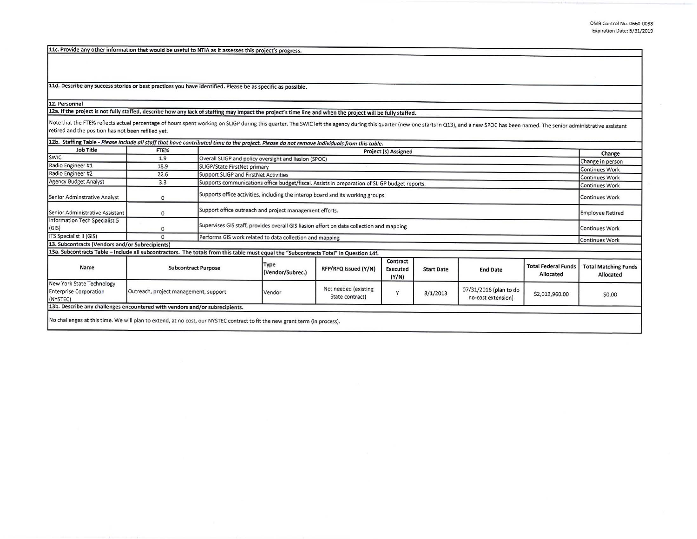11c. Provide any other information that would be useful to NTIA as it assesses this project's progress.

11d. Describe any success stories or best practices you have identified. Please be as specific as possible.

**12. Personnel** 

12a. If the project is not fullv staffed, describe how any lack of staffing may impact the project's time line and when the project will be fully staffed.

Note that the FTE% reflects actual percentage of hours spent working on SLIGP during this quarter. The SWIC left the agency during this quarter (new one starts in Q13), and a new SPOC has been named. The senior administrat retired and the position has not been refilled yet.

| <b>SWIC</b>                                                                                                                           | 1.9<br>18.9<br>22.6                   |                                                                                          | Overall SLIGP and policy oversight and liasion (SPOC)                                                                  |                                         | Project (s) Assigned          |                   |                                              |                                         | Change                                   |
|---------------------------------------------------------------------------------------------------------------------------------------|---------------------------------------|------------------------------------------------------------------------------------------|------------------------------------------------------------------------------------------------------------------------|-----------------------------------------|-------------------------------|-------------------|----------------------------------------------|-----------------------------------------|------------------------------------------|
| Radio Engineer #1                                                                                                                     |                                       |                                                                                          |                                                                                                                        |                                         |                               |                   |                                              |                                         | Change in person                         |
| Radio Engineer #2                                                                                                                     |                                       |                                                                                          | SLIGP/State FirstNet primary                                                                                           |                                         |                               |                   |                                              |                                         |                                          |
| Agency Budget Analyst                                                                                                                 |                                       |                                                                                          | <b>Continues Work</b><br>Support SLIGP and FirstNet Activities                                                         |                                         |                               |                   |                                              |                                         |                                          |
|                                                                                                                                       | 3.3                                   |                                                                                          | <b>Continues Work</b><br>Supports communications office budget/fiscal. Assists in preparation of SLIGP budget reports. |                                         |                               |                   |                                              |                                         |                                          |
| Senior Adminstrative Analyst                                                                                                          | 0                                     | Supports office activities, including the interop board and its working groups           |                                                                                                                        |                                         |                               |                   |                                              |                                         | <b>Continues Work</b><br>Continues Work  |
| Senior Administrative Assistant                                                                                                       | $\circ$                               | Support office outreach and project management efforts.                                  |                                                                                                                        |                                         |                               |                   |                                              |                                         | <b>Employee Retired</b>                  |
| Information Tech Specialist 5<br>(GIS)                                                                                                | 0                                     | Supervises GIS staff, provides overall GIS liasion effort on data collection and mapping |                                                                                                                        |                                         |                               |                   |                                              |                                         | Continues Work                           |
| ITS Specialist II (GIS)                                                                                                               | $\Omega$                              | Performs GIS work related to data collection and mapping                                 |                                                                                                                        |                                         |                               |                   |                                              |                                         | Continues Work                           |
| 13. Subcontracts (Vendors and/or Subrecipients)                                                                                       |                                       |                                                                                          |                                                                                                                        |                                         |                               |                   |                                              |                                         |                                          |
| 13a. Subcontracts Table - Include all subcontractors. The totals from this table must equal the "Subcontracts Total" in Question 14f. |                                       |                                                                                          |                                                                                                                        |                                         |                               |                   |                                              |                                         |                                          |
| Name                                                                                                                                  | <b>Subcontract Purpose</b>            |                                                                                          | Type<br>(Vendor/Subrec.)                                                                                               | RFP/RFQ Issued (Y/N)                    | Contract<br>Executed<br>(Y/N) | <b>Start Date</b> | <b>End Date</b>                              | <b>Total Federal Funds</b><br>Allocated | <b>Total Matching Funds</b><br>Allocated |
| New York State Technology<br><b>Enterprise Corporation</b><br>(NYSTEC)                                                                | Outreach, project management, support |                                                                                          | Vendor                                                                                                                 | Not needed (existing<br>State contract) | v                             | 8/1/2013          | 07/31/2016 (plan to do<br>no-cost extension) | \$2,013,960.00                          | \$0.00                                   |
| 13b. Describe any challenges encountered with vendors and/or subrecipients.                                                           |                                       |                                                                                          |                                                                                                                        |                                         |                               |                   |                                              |                                         |                                          |